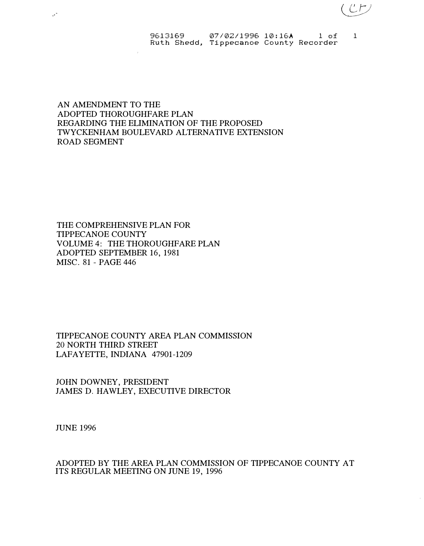$\mathcal{L}$ r)  $\mathcal{L}$ . contrary to the contrary of the contrary of the contrary of the contrary of the contrary of the contrary of the contrary of the contrary of the contrary of the contrary of the contrary of the contrary of the con

9613169 07/02/1996 10:16A 1 of 1 Ruth Shedd, Tippecanoe County Recorder

AN AMENDMENT TO THE ADOPTED THOROUGHFARE PLAN REGARDING THE ELIMINATION OF THE PROPOSED TWYCKENHAM BOULEY ARD ALTERNATIVE EXTENSION ROAD SEGMENT

THE COMPREHENSIVE PLAN FOR TIPPECANOE COUNTY VOLUME 4: THE THOROUGHFARE PLAN ADOPTED SEPTEMBER 16, 1981 MISC. 81 - PAGE 446

TIPPECANOE COUNTY AREA PLAN COMMISSION 20 NORTH THIRD STREET LAFAYETTE, INDIANA 47901-1209

JOHN DOWNEY, PRESIDENT JAMES D. HAWLEY, EXECUTIVE DIRECTOR

JUNE 1996

ADOPTED BY THE AREA PLAN COMMISSION OF TIPPECANOE COUNTY AT ITS REGULAR MEETING ON JUNE 19, 1996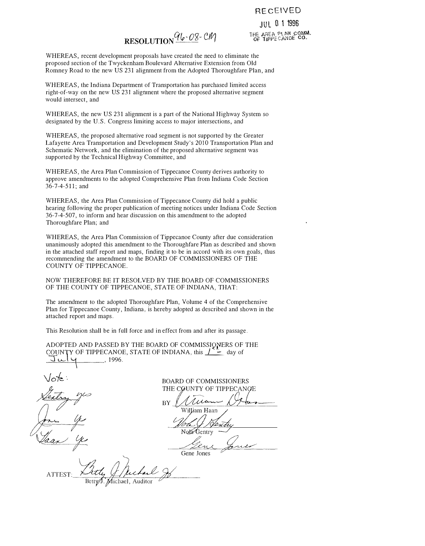RECEIVED

JUL 0 1 1996

RESOLUTION  $96.08$ -CM

THE AREA PLAN COMM.<br>OF TIPPECANOE CO.

WHEREAS, recent development proposals have created the need to eliminate the proposed section of the Twyckenham Boulevard Alternative Extension from Old Romney Road to the new US 231 alignment from the Adopted Thoroughfare Plan, and

WHEREAS, the Indiana Department of Transportation has purchased limited access right-of-way on the new US 231 aligmnent where the proposed alternative segment would intersect, and

WHEREAS, the new US 231 alignment is a part of the National Highway System so designated by the U.S. Congress limiting access to major intersections, and

WHEREAS, the proposed alternative road segment is not supported by the Greater Lafayette Area Transportation and Development Study's 2010 Transportation Plan and Schematic Network, and the elimination of the proposed alternative segment was supported by the Technical Highway Committee, and

WHEREAS, the Area Plan Commission of Tippecanoe County derives authority to approve amendments to the adopted Comprehensive Plan from Indiana Code Section 36-7-4-511; and

WHEREAS, the Area Plan Commission of Tippecanoe County did hold a public hearing following the proper publication of meeting notices under Indiana Code Section 36-7-4-507, to inform and hear discussion on this amendment to the adopted Thoroughfare Plan; and

WHEREAS, the Area Plan Commission of Tippecanoe County after due consideration unanimously adopted this amendment to the Thoroughfare Plan as described and shown in the attached staff report and maps, finding it to be in accord with its own goals, thus recommending the amendment to the BOARD OF COMMISSIONERS OF THE COUNTY OF TIPPECANOE.

NOW THEREFORE BE IT RESOLVED BY THE BOARD OF COMMISSIONERS OF THE COUNTY OF TIPPECANOE, STATE OF INDIANA, THAT:

The amendment to the adopted Thoroughfare Plan, Volume 4 of the Comprehensive Plan for Tippecanoe County, Indiana, is hereby adopted as described and shown in the attached report and maps.

This Resolution shall be in full force and in effect from and after its passage.

COUNTY OF TIPPECANOE, STATE OF INDIANA, this  $L^2$  day of <u>س ا ب</u> ADOPTED AND PASSED BY THE BOARD OF COMMISSIONERS OF THE  $\frac{1}{2}$ , 1996.

\

THE<br>BY William Haan<br>Alexandric Centry RD OF COMMISSIONERS<br>COUNTY OF TIPPECANOE BOARD OF COMMISSIONERS

?/

Gene Jones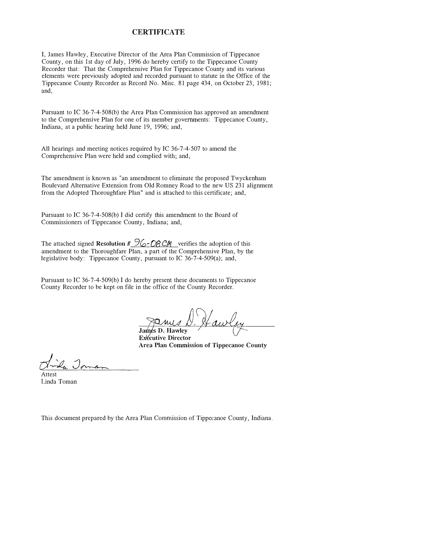## **CERTIFICATE**

I, James Hawley, Executive Director of the Area Plan Commission of Tippecanoe County, on this 1st day of July, 1996 do hereby certify to the Tippecanoe County Recorder that: That the Comprehensive Plan for Tippecanoe County and its various elements were previously adopted and recorded pursuant to statute in the Office of the Tippecanoe County Recorder as Record No. Misc. 81 page 434, on October 23, 1981; and,

Pursuant to IC 36-7-4-508(b) the Area Plan Commission has approved an amendment to the Comprehensive Plan for one of its member governments: Tippecanoe County, Indiana, at a public hearing held June 19, 1996; and,

All hearings and meeting notices required by IC 36-7-4-507 to amend the Comprehensive Plan were held and complied with; and,

The amendment is known as "an amendment to eliminate the proposed Twyckenham Boulevard Alternative Extension from Old Romney Road to the new US 231 alignment from the Adopted Thoroughfare Plan" and is attached to this certificate; and,

Pursuant to IC 36-7-4-508(b) I did certify this amendment to the Board of Commissioners of Tippecanoe County, Indiana; and,

The attached signed Resolution #  $\frac{96-08}{9}$  verifies the adoption of this amendment to the Thoroughfare Plan, a part of the Comprehensive Plan, by the legislative body: Tippecanoe County, pursuant to IC 36-7-4-509(a); and,

Pursuant to IC 36-7-4-509(b) I do hereby present these documents to Tippecanoe County Recorder to be kept on file in the office of the County Recorder.

James D. Hawley

**Exécutive Director** Area Plan Commission of Tippecanoe County

Attest Linda Toman

This document prepared by the Area Plan Commission of Tippecanoe County, Indiana.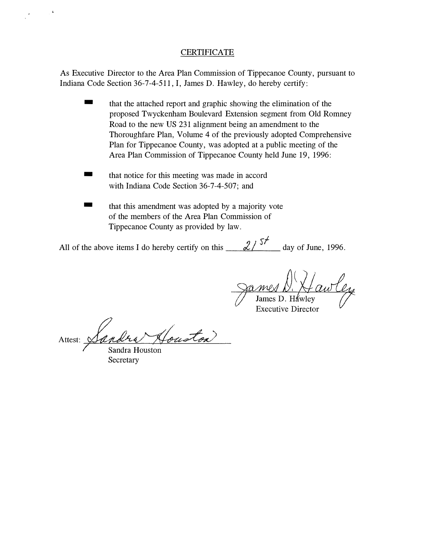## **CERTIFICATE**

As Executive Director to the Area Plan Commission of Tippecanoe County, pursuant to Indiana Code Section 36-7-4-511, I, James D. Hawley, do hereby certify:

- that the attached report and graphic showing the elimination of the proposed Twyckenham Boulevard Extension segment from Old Romney Road to the new US 231 alignment being an amendment to the Thoroughfare Plan, Volume 4 of the previously adopted Comprehensive Plan for Tippecanoe County, was adopted at a public meeting of the Area Plan Commission of Tippecanoe County held June 19, 1996:
- $\blacksquare$  that notice for this meeting was made in accord with Indiana Code Section 36-7-4-507; and
- **that this amendment was adopted by a majority vote** of the members of the Area Plan Commission of Tippecanoe County as provided by law.

All of the above items I do hereby certify on this  $\frac{2}{5}$   $\frac{5}{5}$  day of June, 1996.

James D. Hawley **Executive Director** 

Attest: Sandra Houston

Sandra Houston **Secretary**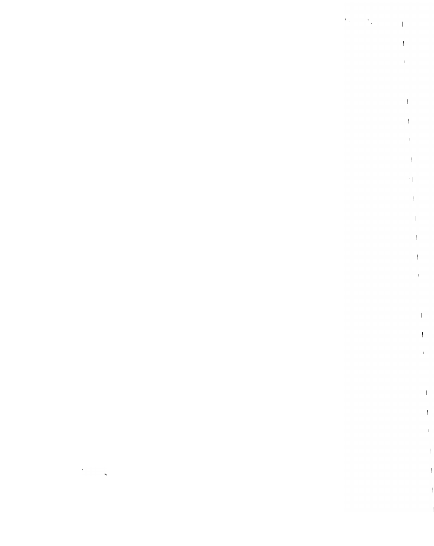$\label{eq:2} \frac{1}{\sqrt{2}}\sum_{i=1}^n\frac{1}{\sqrt{2}}\sum_{i=1}^n\frac{1}{\sqrt{2}}\sum_{i=1}^n\frac{1}{\sqrt{2}}\sum_{i=1}^n\frac{1}{\sqrt{2}}\sum_{i=1}^n\frac{1}{\sqrt{2}}\sum_{i=1}^n\frac{1}{\sqrt{2}}\sum_{i=1}^n\frac{1}{\sqrt{2}}\sum_{i=1}^n\frac{1}{\sqrt{2}}\sum_{i=1}^n\frac{1}{\sqrt{2}}\sum_{i=1}^n\frac{1}{\sqrt{2}}\sum_{i=1}^n\frac{1$  $\bar{\Gamma}$ 

 $\bar{\mathbb{F}}$  $\bar{\mathcal{A}}$ 

 $\bar{1}$  $\frac{1}{2}$  $\begin{array}{c} \begin{array}{c} \end{array} \end{array}$ 

 $\bar{A}$  $\overline{\mathcal{A}}$  $\frac{1}{2}$ 

 $\overline{\phantom{a}}$ 

 $\begin{array}{c} \end{array}$ 

 $\label{eq:2.1} \frac{d\mathbf{r}}{d\mathbf{r}} = \frac{1}{\sqrt{2\pi}}\sum_{i=1}^n \frac{d\mathbf{r}}{d\mathbf{r}} \mathbf{r}_i \mathbf{r}_i \mathbf{r}_i \mathbf{r}_i \mathbf{r}_i$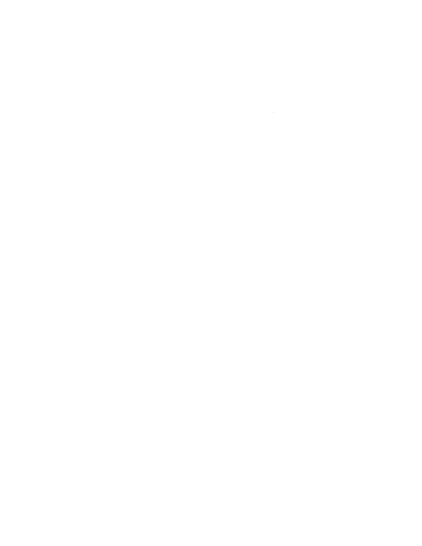$\label{eq:2.1} \frac{1}{\sqrt{2}}\left(\frac{1}{\sqrt{2}}\right)^{2} \left(\frac{1}{\sqrt{2}}\right)^{2} \left(\frac{1}{\sqrt{2}}\right)^{2} \left(\frac{1}{\sqrt{2}}\right)^{2} \left(\frac{1}{\sqrt{2}}\right)^{2} \left(\frac{1}{\sqrt{2}}\right)^{2} \left(\frac{1}{\sqrt{2}}\right)^{2} \left(\frac{1}{\sqrt{2}}\right)^{2} \left(\frac{1}{\sqrt{2}}\right)^{2} \left(\frac{1}{\sqrt{2}}\right)^{2} \left(\frac{1}{\sqrt{2}}\right)^{2} \left(\$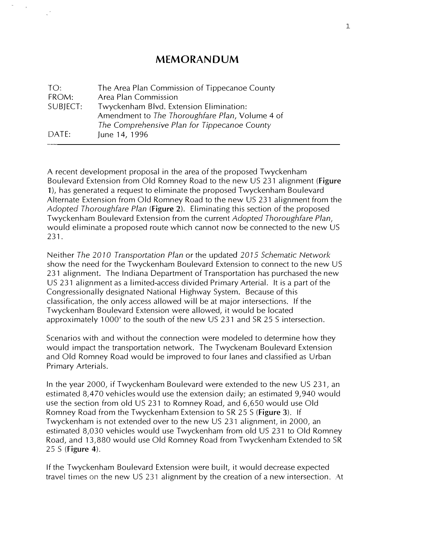## MEMORANDUM

TO: The Area Plan Commission of Tippecanoe County<br>FROM: Area Plan Commission Area Plan Commission SUBJECT: Twyckenham Blvd. Extension Elimination: Amendment to The Thoroughfare Plan, Volume 4 of The Comprehensive Plan for Tippecanoe County DATE: June 14, 1996

A recent development proposal in the area of the proposed Twyckenham Boulevard Extension from Old Romney Road to the new US 231 alignment (Figure 1), has generated a request to eliminate the proposed Twyckenham Boulevard Alternate Extension from Old Romney Road to the new US 231 alignment from the Adopted Thoroughfare Plan (Figure 2). Eliminating this section of the proposed Twyckenham Boulevard Extension from the current Adopted Thoroughfare Plan, would eliminate a proposed route which cannot now be connected to the new US 231.

Neither The 2010 Transportation Plan or the updated 2075 Schematic Network show the need for the Twyckenham Boulevard Extension to connect to the new US 231 alignment. The Indiana Department of Transportation has purchased the new US 231 alignment as a limited-access divided Primary Arterial. It is a part of the Congressionally designated National Highway System. Because of this classification, the only access allowed will be at major intersections. If the Twyckenham Boulevard Extension were allowed, it would be located approximately 1 000' to the south of the new US 231 and SR 25 S intersection.

Scenarios with and without the connection were modeled to determine how they would impact the transportation network. The Twyckenam Boulevard Extension and Old Romney Road would be improved to four lanes and classified as Urban Primary Arterials.

In the year 2000, if Twyckenham Boulevard were extended to the new US 231, an estimated 8,470 vehicles would use the extension daily; an estimated 9,940 would use the section from old US 231 to Romney Road, and 6,650 would use Old Romney Road from the Twyckenham Extension to SR 25 S (Figure 3). If Twyckenham is not extended over to the new US 231 alignment, in 2000, an estimated 8,030 vehicles would use Twyckenham from old US 231 to Old Romney Road, and 13,880 would use Old Romney Road from Twyckenham Extended to SR 25 5 (Figure 4).

If the Twyckenham Boulevard Extension were built, it would decrease expected travel times on the new US 231 alignment by the creation of a new intersection. At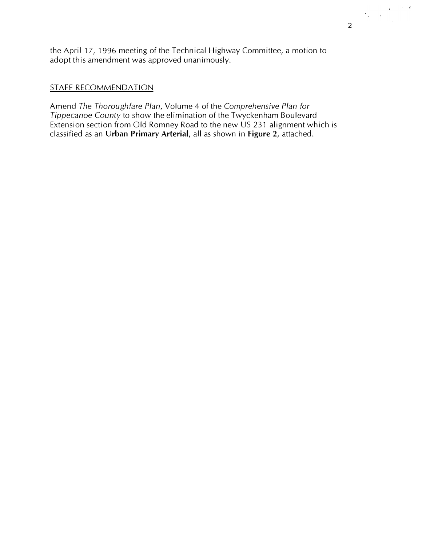the April 17, 1996 meeting of the Technical Highway Committee, a motion to adopt this amendment was approved unanimously.

## STAFF RECOMMENDATION

Amend The Thoroughfare Plan, Volume 4 of the Comprehensive Plan for Tippecanoe County to show the elimination of the Twyckenham Boulevard Extension section from Old Romney Road to the new US 231 alignment which is classified as an Urban Primary Arterial, all as shown in Figure 2, attached.

 $\sim$   $\sim$   $\,$   $\,$   $\,$ 

 $\mathbf{u}$ 

 $\bar{\beta}$ 

 $\mathcal{F}_{\mathcal{A}}$  , and  $\mathcal{F}_{\mathcal{A}}$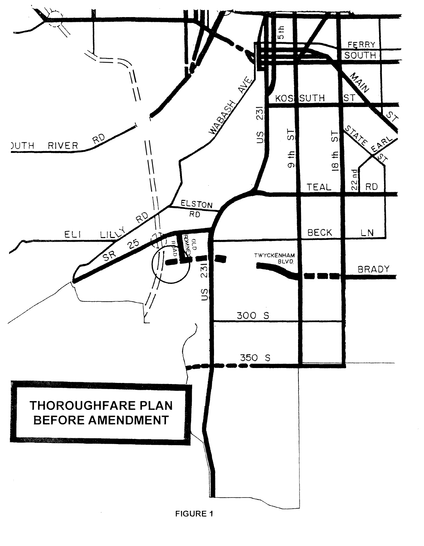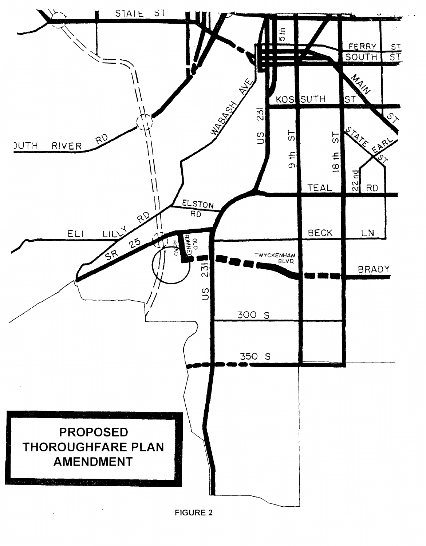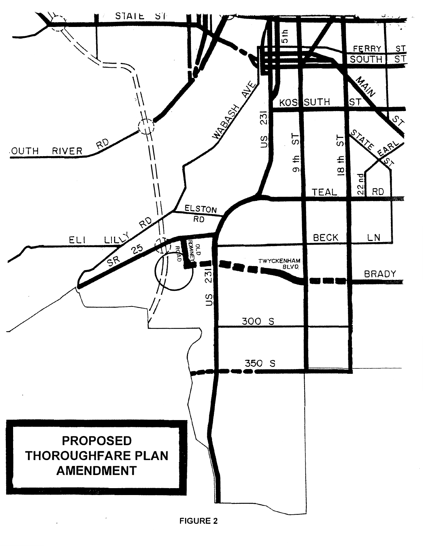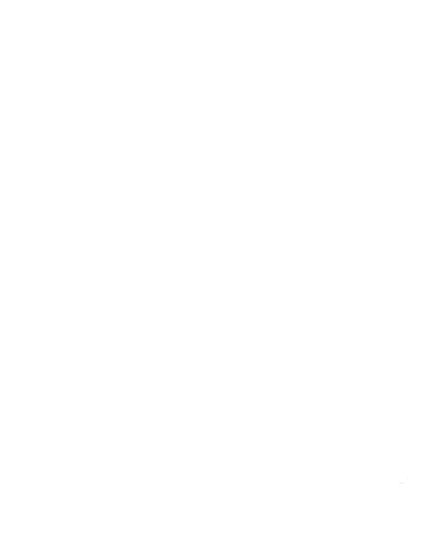$\langle k \rangle$  $\hat{\beta}_{\rm max}$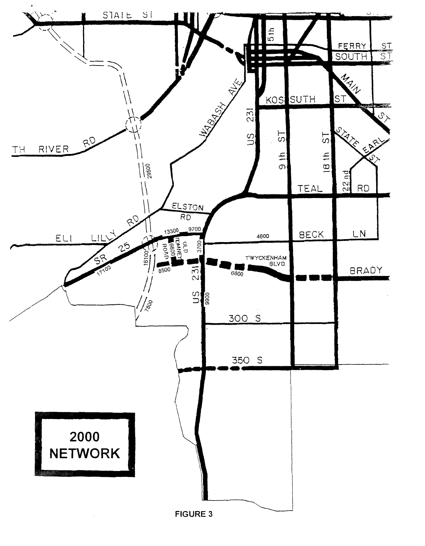